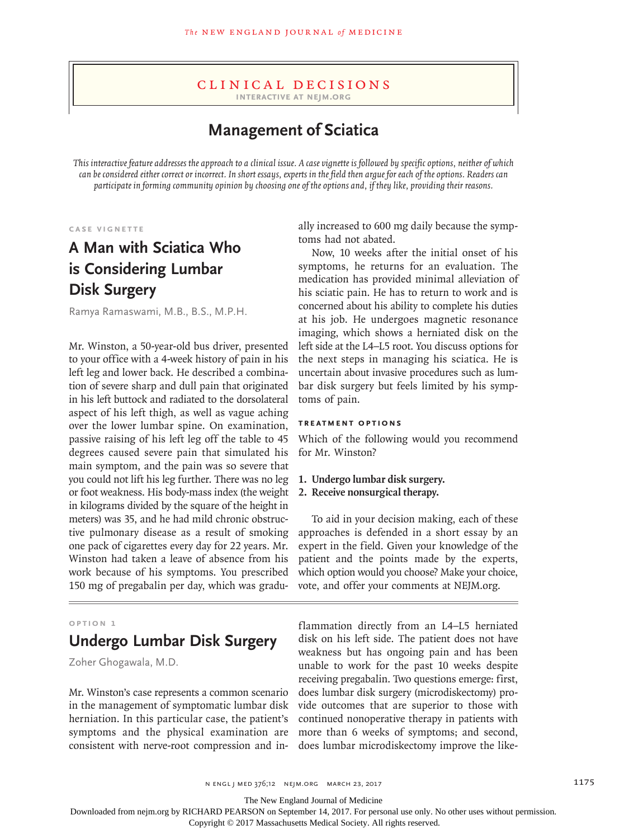#### Clinical Decisions **Interactive at nejm.org**

**Management of Sciatica**

*This interactive feature addresses the approach to a clinical issue. A case vignette is followed by specific options, neither of which can be considered either correct or incorrect. In short essays, experts in the field then argue for each of the options. Readers can participate in forming community opinion by choosing one of the options and, if they like, providing their reasons.*

**Case Vignette**

# **A Man with Sciatica Who is Considering Lumbar Disk Surgery**

Ramya Ramaswami, M.B., B.S., M.P.H.

Mr. Winston, a 50-year-old bus driver, presented to your office with a 4-week history of pain in his left leg and lower back. He described a combination of severe sharp and dull pain that originated in his left buttock and radiated to the dorsolateral aspect of his left thigh, as well as vague aching over the lower lumbar spine. On examination, passive raising of his left leg off the table to 45 degrees caused severe pain that simulated his main symptom, and the pain was so severe that you could not lift his leg further. There was no leg or foot weakness. His body-mass index (the weight in kilograms divided by the square of the height in meters) was 35, and he had mild chronic obstructive pulmonary disease as a result of smoking one pack of cigarettes every day for 22 years. Mr. Winston had taken a leave of absence from his work because of his symptoms. You prescribed 150 mg of pregabalin per day, which was gradu-

### **Option 1**

# **Undergo Lumbar Disk Surgery**

Zoher Ghogawala, M.D.

Mr. Winston's case represents a common scenario in the management of symptomatic lumbar disk herniation. In this particular case, the patient's symptoms and the physical examination are consistent with nerve-root compression and inally increased to 600 mg daily because the symptoms had not abated.

Now, 10 weeks after the initial onset of his symptoms, he returns for an evaluation. The medication has provided minimal alleviation of his sciatic pain. He has to return to work and is concerned about his ability to complete his duties at his job. He undergoes magnetic resonance imaging, which shows a herniated disk on the left side at the L4–L5 root. You discuss options for the next steps in managing his sciatica. He is uncertain about invasive procedures such as lumbar disk surgery but feels limited by his symptoms of pain.

#### **Treatment Options**

Which of the following would you recommend for Mr. Winston?

## **1. Undergo lumbar disk surgery.**

## **2. Receive nonsurgical therapy.**

To aid in your decision making, each of these approaches is defended in a short essay by an expert in the field. Given your knowledge of the patient and the points made by the experts, which option would you choose? Make your choice, vote, and offer your comments at NEJM.org.

flammation directly from an L4–L5 herniated disk on his left side. The patient does not have weakness but has ongoing pain and has been unable to work for the past 10 weeks despite receiving pregabalin. Two questions emerge: first, does lumbar disk surgery (microdiskectomy) provide outcomes that are superior to those with continued nonoperative therapy in patients with more than 6 weeks of symptoms; and second, does lumbar microdiskectomy improve the like-

The New England Journal of Medicine

Downloaded from nejm.org by RICHARD PEARSON on September 14, 2017. For personal use only. No other uses without permission.

Copyright © 2017 Massachusetts Medical Society. All rights reserved.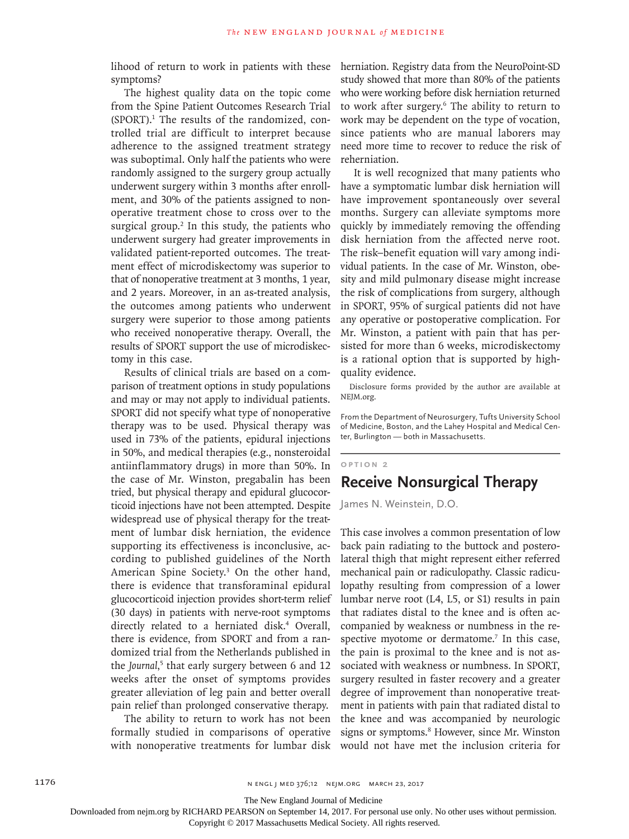lihood of return to work in patients with these symptoms?

The highest quality data on the topic come from the Spine Patient Outcomes Research Trial (SPORT).1 The results of the randomized, controlled trial are difficult to interpret because adherence to the assigned treatment strategy was suboptimal. Only half the patients who were randomly assigned to the surgery group actually underwent surgery within 3 months after enrollment, and 30% of the patients assigned to nonoperative treatment chose to cross over to the surgical group.<sup>2</sup> In this study, the patients who underwent surgery had greater improvements in validated patient-reported outcomes. The treatment effect of microdiskectomy was superior to that of nonoperative treatment at 3 months, 1 year, and 2 years. Moreover, in an as-treated analysis, the outcomes among patients who underwent surgery were superior to those among patients who received nonoperative therapy. Overall, the results of SPORT support the use of microdiskectomy in this case.

Results of clinical trials are based on a comparison of treatment options in study populations and may or may not apply to individual patients. SPORT did not specify what type of nonoperative therapy was to be used. Physical therapy was used in 73% of the patients, epidural injections in 50%, and medical therapies (e.g., nonsteroidal antiinflammatory drugs) in more than 50%. In the case of Mr. Winston, pregabalin has been tried, but physical therapy and epidural glucocorticoid injections have not been attempted. Despite widespread use of physical therapy for the treatment of lumbar disk herniation, the evidence supporting its effectiveness is inconclusive, according to published guidelines of the North American Spine Society.3 On the other hand, there is evidence that transforaminal epidural glucocorticoid injection provides short-term relief (30 days) in patients with nerve-root symptoms directly related to a herniated disk.<sup>4</sup> Overall, there is evidence, from SPORT and from a randomized trial from the Netherlands published in the *Journal*,<sup>5</sup> that early surgery between 6 and 12 weeks after the onset of symptoms provides greater alleviation of leg pain and better overall pain relief than prolonged conservative therapy.

The ability to return to work has not been formally studied in comparisons of operative with nonoperative treatments for lumbar disk herniation. Registry data from the NeuroPoint-SD study showed that more than 80% of the patients who were working before disk herniation returned to work after surgery.6 The ability to return to work may be dependent on the type of vocation, since patients who are manual laborers may need more time to recover to reduce the risk of reherniation.

It is well recognized that many patients who have a symptomatic lumbar disk herniation will have improvement spontaneously over several months. Surgery can alleviate symptoms more quickly by immediately removing the offending disk herniation from the affected nerve root. The risk–benefit equation will vary among individual patients. In the case of Mr. Winston, obesity and mild pulmonary disease might increase the risk of complications from surgery, although in SPORT, 95% of surgical patients did not have any operative or postoperative complication. For Mr. Winston, a patient with pain that has persisted for more than 6 weeks, microdiskectomy is a rational option that is supported by highquality evidence.

Disclosure forms provided by the author are available at NEJM.org.

From the Department of Neurosurgery, Tufts University School of Medicine, Boston, and the Lahey Hospital and Medical Center, Burlington — both in Massachusetts.

### **Option 2**

# **Receive Nonsurgical Therapy**

James N. Weinstein, D.O.

This case involves a common presentation of low back pain radiating to the buttock and posterolateral thigh that might represent either referred mechanical pain or radiculopathy. Classic radiculopathy resulting from compression of a lower lumbar nerve root (L4, L5, or S1) results in pain that radiates distal to the knee and is often accompanied by weakness or numbness in the respective myotome or dermatome.<sup>7</sup> In this case, the pain is proximal to the knee and is not associated with weakness or numbness. In SPORT, surgery resulted in faster recovery and a greater degree of improvement than nonoperative treatment in patients with pain that radiated distal to the knee and was accompanied by neurologic signs or symptoms.<sup>8</sup> However, since Mr. Winston would not have met the inclusion criteria for

The New England Journal of Medicine

Downloaded from nejm.org by RICHARD PEARSON on September 14, 2017. For personal use only. No other uses without permission.

Copyright © 2017 Massachusetts Medical Society. All rights reserved.